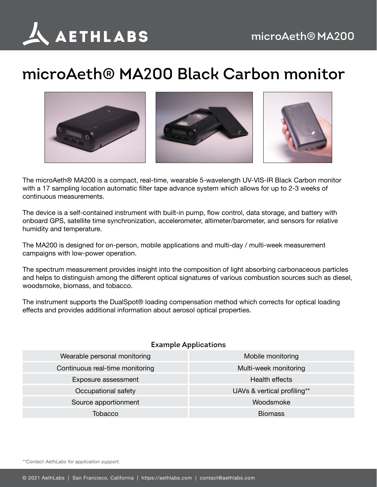

## **microAeth® MA200 Black Carbon monitor**







The microAeth® MA200 is a compact, real-time, wearable 5-wavelength UV-VIS-IR Black Carbon monitor with a 17 sampling location automatic filter tape advance system which allows for up to 2-3 weeks of continuous measurements.

The device is a self-contained instrument with built-in pump, flow control, data storage, and battery with onboard GPS, satellite time synchronization, accelerometer, altimeter/barometer, and sensors for relative humidity and temperature.

The MA200 is designed for on-person, mobile applications and multi-day / multi-week measurement campaigns with low-power operation.

The spectrum measurement provides insight into the composition of light absorbing carbonaceous particles and helps to distinguish among the different optical signatures of various combustion sources such as diesel, woodsmoke, biomass, and tobacco.

The instrument supports the DualSpot® loading compensation method which corrects for optical loading effects and provides additional information about aerosol optical properties.

## **Example Applications**

| Wearable personal monitoring    | Mobile monitoring           |
|---------------------------------|-----------------------------|
| Continuous real-time monitoring | Multi-week monitoring       |
| Exposure assessment             | Health effects              |
| Occupational safety             | UAVs & vertical profiling** |
| Source apportionment            | Woodsmoke                   |
| Tobacco                         | <b>Biomass</b>              |

*\*\*Contact AethLabs for application support.*